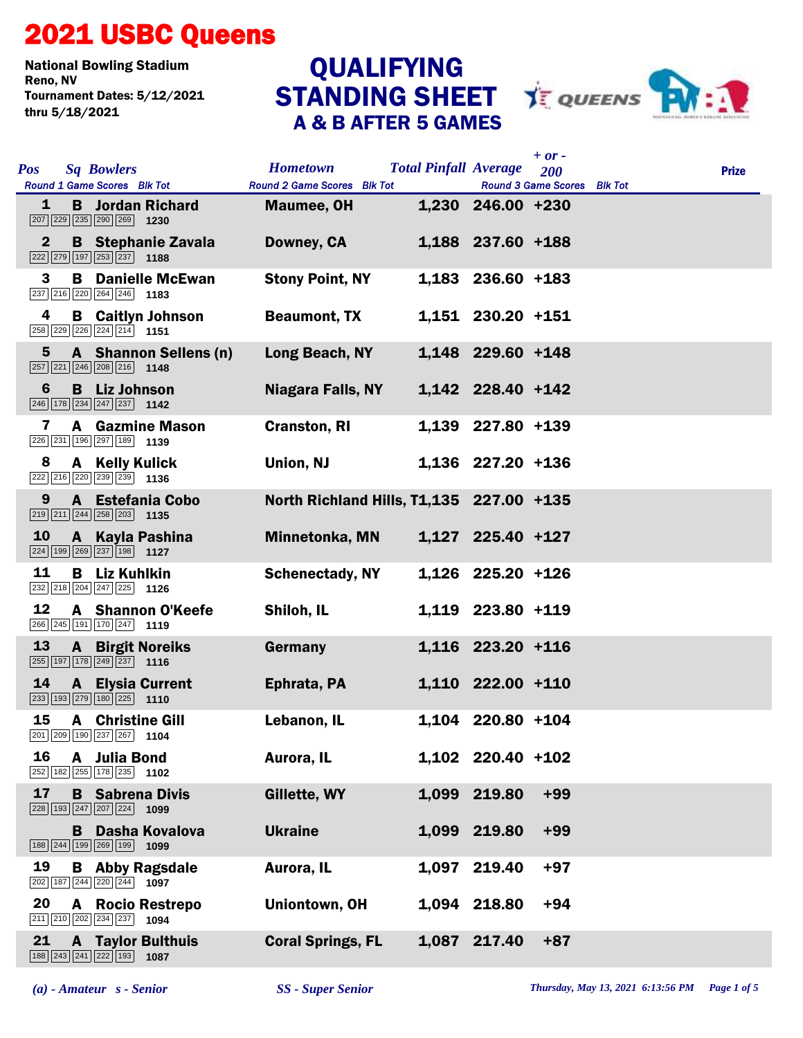## 2021 USBC Queens

National Bowling Stadium Tournament Dates: 5/12/2021 thru 5/18/2021

## A & B AFTER 5 GAMES **QUALIFYING**



| <b>Pos</b>   | <b>Sq Bowlers</b><br>Round 1 Game Scores Blk Tot                                                               | <b>Hometown</b><br>Round 2 Game Scores Blk Tot | <b>Total Pinfall Average</b> |                   | $+$ or $-$<br><b>200</b><br>Round 3 Game Scores Blk Tot | <b>Prize</b> |
|--------------|----------------------------------------------------------------------------------------------------------------|------------------------------------------------|------------------------------|-------------------|---------------------------------------------------------|--------------|
| 1            | <b>B</b> Jordan Richard<br>$\boxed{207}$ $\boxed{229}$ $\boxed{235}$ $\boxed{290}$ $\boxed{269}$ 1230          | <b>Maumee, OH</b>                              |                              | 1,230 246.00 +230 |                                                         |              |
| $\mathbf{2}$ | <b>B</b> Stephanie Zavala<br>$\boxed{222}$ $\boxed{279}$ $\boxed{197}$ $\boxed{253}$ $\boxed{237}$ <b>1188</b> | Downey, CA                                     |                              | 1,188 237.60 +188 |                                                         |              |
| 3            | <b>B</b> Danielle McEwan<br>237 216 220 264 246 1183                                                           | <b>Stony Point, NY</b>                         |                              | 1,183 236.60 +183 |                                                         |              |
| 4            | <b>B</b> Caitlyn Johnson<br>$\boxed{258}$ $\boxed{229}$ $\boxed{226}$ $\boxed{224}$ $\boxed{214}$ 1151         | <b>Beaumont, TX</b>                            |                              | 1,151 230.20 +151 |                                                         |              |
| 5            | A Shannon Sellens (n)<br>257 221 246 208 216 1148                                                              | Long Beach, NY                                 |                              | 1,148 229.60 +148 |                                                         |              |
| 6            | <b>B</b> Liz Johnson                                                                                           | Niagara Falls, NY                              |                              | 1,142 228.40 +142 |                                                         |              |
| 7            | <b>A</b> Gazmine Mason<br>226 231 196 297 189 1139                                                             | <b>Cranston, RI</b>                            |                              | 1,139 227.80 +139 |                                                         |              |
| 8            | A Kelly Kulick<br>222 216 220 239 239 1136                                                                     | Union, NJ                                      |                              | 1,136 227.20 +136 |                                                         |              |
| 9            | A Estefania Cobo<br>$\boxed{219}$ $\boxed{211}$ $\boxed{244}$ $\boxed{258}$ $\boxed{203}$ <b>1135</b>          | North Richland Hills, T1,135 227.00 +135       |                              |                   |                                                         |              |
| 10           | A Kayla Pashina<br>$\boxed{224}$ 199 269 237 198 1127                                                          | Minnetonka, MN                                 |                              | 1,127 225.40 +127 |                                                         |              |
| 11           | <b>B</b> Liz Kuhlkin<br>232 218 204 247 225 1126                                                               | <b>Schenectady, NY</b>                         |                              | 1,126 225.20 +126 |                                                         |              |
| 12           | A Shannon O'Keefe<br>266 245 191 170 247 1119                                                                  | Shiloh, IL                                     |                              | 1,119 223.80 +119 |                                                         |              |
| 13           | <b>A</b> Birgit Noreiks<br>$\boxed{255}$ 197 178 249 237 1116                                                  | Germany                                        |                              | 1,116 223.20 +116 |                                                         |              |
| 14           | <b>A</b> Elysia Current<br>233 193 279 180 225 1110                                                            | Ephrata, PA                                    |                              | 1,110 222.00 +110 |                                                         |              |
| 15           | <b>A</b> Christine Gill<br>201 209 190 237 267 1104                                                            | Lebanon, IL                                    |                              | 1,104 220.80 +104 |                                                         |              |
| 16           | A Julia Bond<br>252 182 255 178 235 1102                                                                       | Aurora, IL                                     |                              | 1,102 220.40 +102 |                                                         |              |
| 17           | <b>B</b> Sabrena Divis<br>228 193 247 207 224 1099                                                             | Gillette, WY                                   |                              | 1,099 219.80      | $+99$                                                   |              |
|              | Dasha Kovalova<br>B.<br>188 244 199 269 199 1099                                                               | <b>Ukraine</b>                                 |                              | 1,099 219.80      | $+99$                                                   |              |
| 19           | <b>B</b> Abby Ragsdale<br>202 187 244 220 244 1097                                                             | Aurora, IL                                     | 1,097                        | 219.40            | $+97$                                                   |              |
| 20           | <b>A</b> Rocio Restrepo<br>$\boxed{211}$ $\boxed{210}$ $\boxed{202}$ $\boxed{234}$ $\boxed{237}$ <b>1094</b>   | Uniontown, OH                                  |                              | 1,094 218.80      | $+94$                                                   |              |
| 21           | <b>A</b> Taylor Bulthuis<br>188 243 241 222 193<br>1087                                                        | <b>Coral Springs, FL</b>                       |                              | 1,087 217.40      | $+87$                                                   |              |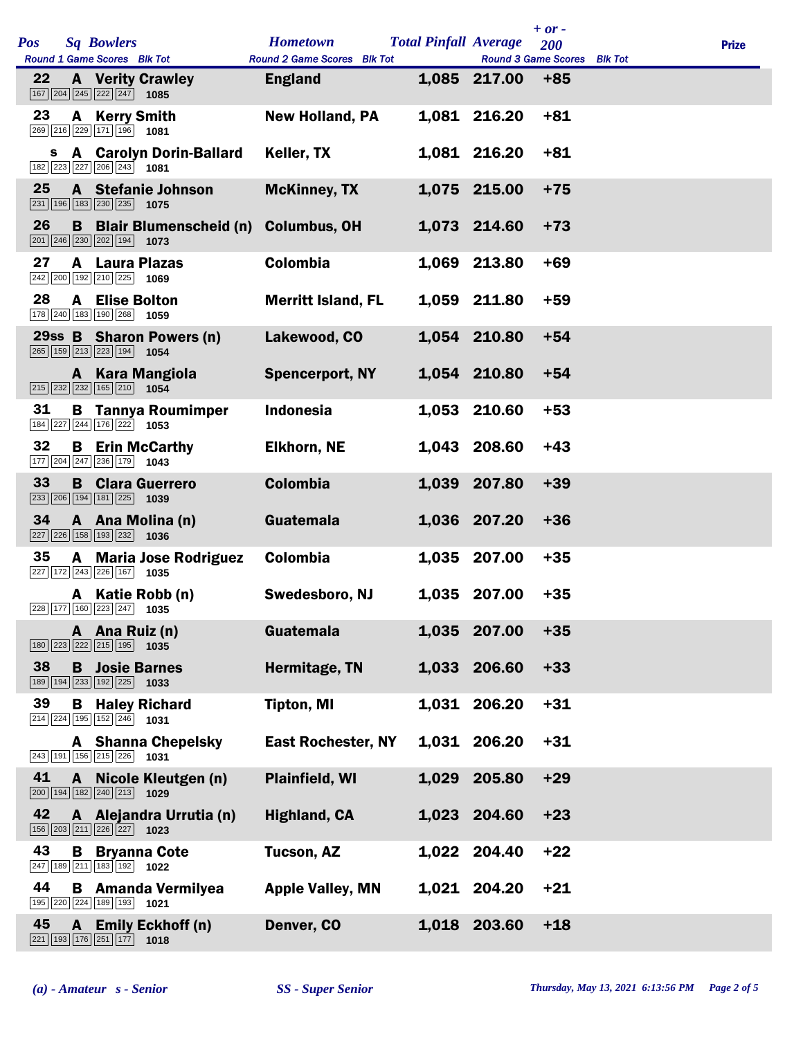| Pos |              | <b>Sq Bowlers</b><br>Round 1 Game Scores Blk Tot                                                                     | <b>Hometown</b><br><b>Round 2 Game Scores Blk Tot</b> | <b>Total Pinfall Average</b> | <b>Round 3 Game Scores</b> | $+$ or $-$<br><b>200</b> | <b>Blk Tot</b> | <b>Prize</b> |
|-----|--------------|----------------------------------------------------------------------------------------------------------------------|-------------------------------------------------------|------------------------------|----------------------------|--------------------------|----------------|--------------|
| 22  |              | <b>A</b> Verity Crawley<br>167 204 245 222 247<br>1085                                                               | <b>England</b>                                        |                              | 1,085 217.00               | $+85$                    |                |              |
| 23  |              | A Kerry Smith<br>269 216 229 171 196 1081                                                                            | <b>New Holland, PA</b>                                |                              | 1,081 216.20               | $+81$                    |                |              |
|     |              | s A Carolyn Dorin-Ballard<br>$\boxed{182}$ $\boxed{223}$ $\boxed{227}$ $\boxed{206}$ $\boxed{243}$ <b>1081</b>       | Keller, TX                                            |                              | 1,081 216.20               | $+81$                    |                |              |
| 25  |              | A Stefanie Johnson<br>$\boxed{231}$ $\boxed{196}$ $\boxed{183}$ $\boxed{230}$ $\boxed{235}$ <b>1075</b>              | <b>McKinney, TX</b>                                   |                              | 1,075 215.00               | $+75$                    |                |              |
| 26  |              | <b>B</b> Blair Blumenscheid (n)<br>$\boxed{201}$ $\boxed{246}$ $\boxed{230}$ $\boxed{202}$ $\boxed{194}$ <b>1073</b> | <b>Columbus, OH</b>                                   |                              | 1,073 214.60               | $+73$                    |                |              |
| 27  |              | <b>A</b> Laura Plazas<br>242 200 192 210 225<br>1069                                                                 | Colombia                                              |                              | 1,069 213.80               | $+69$                    |                |              |
| 28  |              | <b>A</b> Elise Bolton<br>178 240 183 190 268 1059                                                                    | <b>Merritt Island, FL</b>                             |                              | 1,059 211.80               | $+59$                    |                |              |
|     |              | 29ss B Sharon Powers (n)<br>265 159 213 223 194 1054                                                                 | Lakewood, CO                                          |                              | 1,054 210.80               | $+54$                    |                |              |
|     |              | A Kara Mangiola<br>$\boxed{215}$ $\boxed{232}$ $\boxed{232}$ $\boxed{165}$ $\boxed{210}$ <b>1054</b>                 | <b>Spencerport, NY</b>                                |                              | 1,054 210.80               | $+54$                    |                |              |
| 31  |              | <b>B</b> Tannya Roumimper<br>184 227 244 176 222 1053                                                                | <b>Indonesia</b>                                      |                              | 1,053 210.60               | $+53$                    |                |              |
| 32  |              | <b>B</b> Erin McCarthy<br>177 204 247 236 179 1043                                                                   | <b>Elkhorn, NE</b>                                    |                              | 1,043 208.60               | $+43$                    |                |              |
| 33  |              | <b>B</b> Clara Guerrero<br>$\boxed{233}$ $\boxed{206}$ 194 181 225 1039                                              | <b>Colombia</b>                                       |                              | 1,039 207.80               | $+39$                    |                |              |
| 34  |              | A Ana Molina (n)<br>$\boxed{227}$ $\boxed{226}$ 158 193 232 1036                                                     | Guatemala                                             |                              | 1,036 207.20               | $+36$                    |                |              |
| 35  |              | A Maria Jose Rodriguez<br>227 172 243 226 167 1035                                                                   | Colombia                                              |                              | 1,035 207.00               | $+35$                    |                |              |
|     |              | A Katie Robb (n)<br>$\boxed{228}\boxed{177}\boxed{160}\boxed{223}\boxed{247}$ 1035                                   | Swedesboro, NJ                                        |                              | 1,035 207.00               | $+35$                    |                |              |
|     |              | A Ana Ruiz (n)<br>$\boxed{180}$ $\boxed{223}$ $\boxed{222}$ $\boxed{215}$ $\boxed{195}$ <b>1035</b>                  | Guatemala                                             |                              | 1,035 207.00               | $+35$                    |                |              |
| 38  |              | <b>B</b> Josie Barnes<br>189 194 233 192 225 1033                                                                    | Hermitage, TN                                         |                              | 1,033 206.60               | $+33$                    |                |              |
| 39  | В            | <b>Haley Richard</b><br>$\boxed{214}$ $\boxed{224}$ $\boxed{195}$ $\boxed{152}$ $\boxed{246}$ <b>1031</b>            | <b>Tipton, MI</b>                                     |                              | 1,031 206.20               | $+31$                    |                |              |
|     |              | <b>A</b> Shanna Chepelsky<br>$\boxed{243}$ 191 156 215 226 1031                                                      | <b>East Rochester, NY</b>                             |                              | 1,031 206.20               | $+31$                    |                |              |
| 41  | A            | Nicole Kleutgen (n)<br>$\boxed{200}$ 194 182 240 213 1029                                                            | <b>Plainfield, WI</b>                                 |                              | 1,029 205.80               | $+29$                    |                |              |
| 42  |              | A Alejandra Urrutia (n)<br>156 203 211 226 227<br>1023                                                               | <b>Highland, CA</b>                                   |                              | 1,023 204.60               | $+23$                    |                |              |
| 43  | B            | <b>Bryanna Cote</b><br>247 189 211 183 192 1022                                                                      | <b>Tucson, AZ</b>                                     |                              | 1,022 204.40               | $+22$                    |                |              |
| 44  |              | <b>B</b> Amanda Vermilyea<br>195 220 224 189 193<br>1021                                                             | <b>Apple Valley, MN</b>                               |                              | 1,021 204.20               | $+21$                    |                |              |
| 45  | $\mathbf{A}$ | <b>Emily Eckhoff (n)</b><br>$\boxed{221}$ $\boxed{193}$ $\boxed{176}$ $\boxed{251}$ $\boxed{177}$<br>1018            | Denver, CO                                            |                              | 1,018 203.60               | $+18$                    |                |              |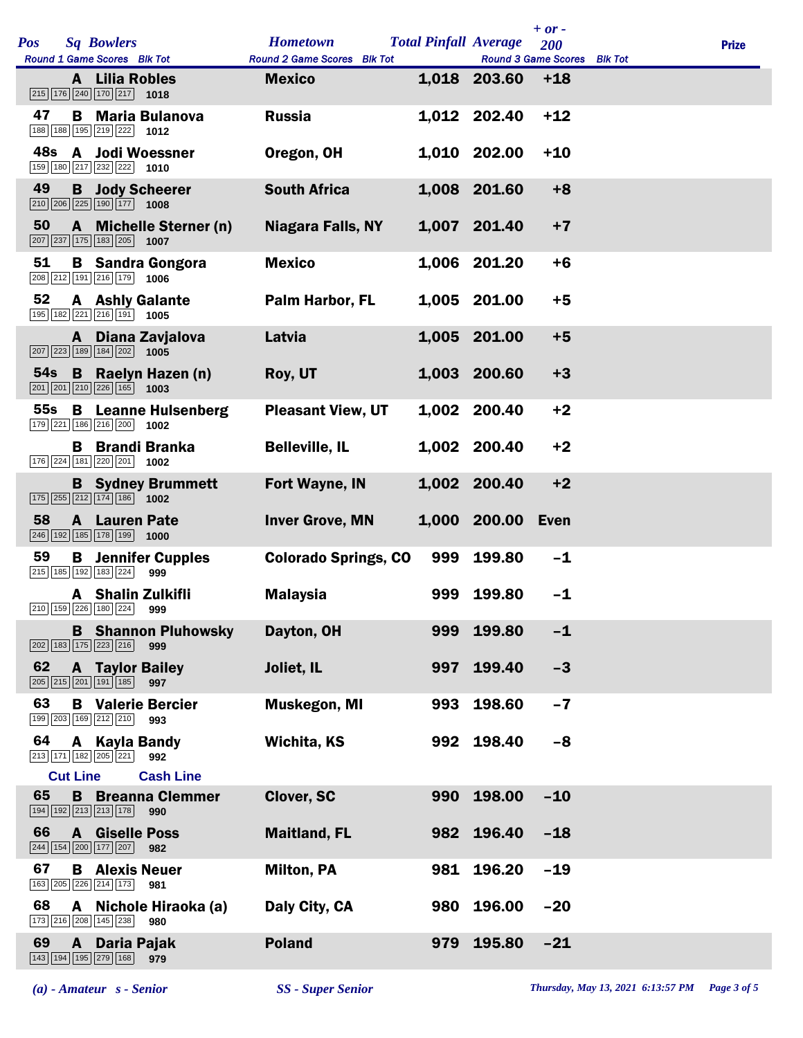|                 |                 |                                                                                                               |                             |     |                              | $+ or -$                    |              |
|-----------------|-----------------|---------------------------------------------------------------------------------------------------------------|-----------------------------|-----|------------------------------|-----------------------------|--------------|
| Pos             |                 | <b>Sq Bowlers</b>                                                                                             | <b>Hometown</b>             |     | <b>Total Pinfall Average</b> | 200                         | <b>Prize</b> |
|                 |                 | Round 1 Game Scores Blk Tot                                                                                   | Round 2 Game Scores Blk Tot |     |                              | Round 3 Game Scores Blk Tot |              |
|                 |                 | A Lilia Robles<br>$\boxed{215}$ $\boxed{176}$ $\boxed{240}$ $\boxed{170}$ $\boxed{217}$ <b>1018</b>           | <b>Mexico</b>               |     | 1,018 203.60                 | $+18$                       |              |
| 47              |                 | <b>B</b> Maria Bulanova<br>188 188 195 219 222 1012                                                           | <b>Russia</b>               |     | 1,012 202.40                 | $+12$                       |              |
| 48s             |                 | A Jodi Woessner<br>$\boxed{159}$ $\boxed{180}$ $\boxed{217}$ $\boxed{232}$ $\boxed{222}$ <b>1010</b>          | Oregon, OH                  |     | 1,010 202.00                 | $+10$                       |              |
| 49              |                 | <b>B</b> Jody Scheerer<br>$\boxed{210}$ $\boxed{206}$ $\boxed{225}$ $\boxed{190}$ $\boxed{177}$ 1008          | <b>South Africa</b>         |     | 1,008 201.60                 | $+8$                        |              |
| 50              |                 | A Michelle Sterner (n)<br>$\boxed{207}$ $\boxed{237}$ $\boxed{175}$ $\boxed{183}$ $\boxed{205}$ <b>1007</b>   | <b>Niagara Falls, NY</b>    |     | 1,007 201.40                 | $+7$                        |              |
| 51              |                 | <b>B</b> Sandra Gongora<br>$\boxed{208}$ $\boxed{212}$ $\boxed{191}$ $\boxed{216}$ $\boxed{179}$ <b>1006</b>  | <b>Mexico</b>               |     | 1,006 201.20                 | $+6$                        |              |
| 52              |                 | <b>A</b> Ashly Galante<br>195 182 221 216 191 1005                                                            | Palm Harbor, FL             |     | 1,005 201.00                 | $+5$                        |              |
|                 |                 | A Diana Zavjalova<br>$\boxed{207}$ $\boxed{223}$ 189 184 202 1005                                             | Latvia                      |     | 1,005 201.00                 | $+5$                        |              |
| 54 <sub>s</sub> |                 | <b>B</b> Raelyn Hazen (n)<br>$\boxed{201}$ $\boxed{201}$ $\boxed{210}$ $\boxed{226}$ $\boxed{165}$ 1003       | Roy, UT                     |     | 1,003 200.60                 | $+3$                        |              |
| 55s             |                 | <b>B</b> Leanne Hulsenberg<br>179 221 186 216 200 1002                                                        | <b>Pleasant View, UT</b>    |     | 1,002 200.40                 | $+2$                        |              |
|                 |                 | <b>B</b> Brandi Branka<br>176 224 181 220 201 1002                                                            | <b>Belleville, IL</b>       |     | 1,002 200.40                 | $+2$                        |              |
|                 |                 | <b>B</b> Sydney Brummett<br>$\boxed{175}$ $\boxed{255}$ $\boxed{212}$ $\boxed{174}$ $\boxed{186}$ <b>1002</b> | Fort Wayne, IN              |     | 1,002 200.40                 | $+2$                        |              |
| 58              |                 | <b>A</b> Lauren Pate<br>246 192 185 178 199<br>1000                                                           | <b>Inver Grove, MN</b>      |     | 1,000 200.00 Even            |                             |              |
| 59              |                 | <b>B</b> Jennifer Cupples<br>215 185 192 183 224<br>999                                                       | <b>Colorado Springs, CO</b> | 999 | 199.80                       | $-1$                        |              |
|                 |                 | A Shalin Zulkifli<br>210 159 226 180 224<br>999                                                               | <b>Malaysia</b>             |     | 999 199.80                   | $-1$                        |              |
|                 |                 | <b>B</b> Shannon Pluhowsky<br>202 183 175 223 216<br>999                                                      | Dayton, OH                  | 999 | 199.80                       | $-1$                        |              |
| 62              |                 | <b>A</b> Taylor Bailey<br>$\boxed{205}$ $\boxed{215}$ $\boxed{201}$ $\boxed{191}$ $\boxed{185}$<br>997        | Joliet, IL                  | 997 | 199.40                       | $-3$                        |              |
| 63              |                 | <b>B</b> Valerie Bercier<br>199 203 169 212 210<br>993                                                        | <b>Muskegon, MI</b>         | 993 | 198.60                       | $-7$                        |              |
| 64              |                 | A Kayla Bandy<br>213 171 182 205 221<br>992                                                                   | Wichita, KS                 |     | 992 198.40                   | $-8$                        |              |
|                 | <b>Cut Line</b> | <b>Cash Line</b>                                                                                              |                             |     |                              |                             |              |
| 65              |                 | <b>B</b> Breanna Clemmer<br>194 192 213 213 178<br>990                                                        | Clover, SC                  | 990 | 198.00                       | $-10$                       |              |
| 66              |                 | <b>A</b> Giselle Poss<br>244 154 200 177 207<br>982                                                           | <b>Maitland, FL</b>         |     | 982 196.40                   | $-18$                       |              |
| 67              |                 | <b>B</b> Alexis Neuer<br>163 205 226 214 173<br>981                                                           | <b>Milton, PA</b>           | 981 | 196.20                       | $-19$                       |              |
| 68              | A               | Nichole Hiraoka (a)<br>173 216 208 145 238<br>980                                                             | Daly City, CA               |     | 980 196.00                   | $-20$                       |              |
| 69              | $\mathbf{A}$    | Daria Pajak<br>143 194 195 279 168<br>979                                                                     | <b>Poland</b>               | 979 | 195.80                       | $-21$                       |              |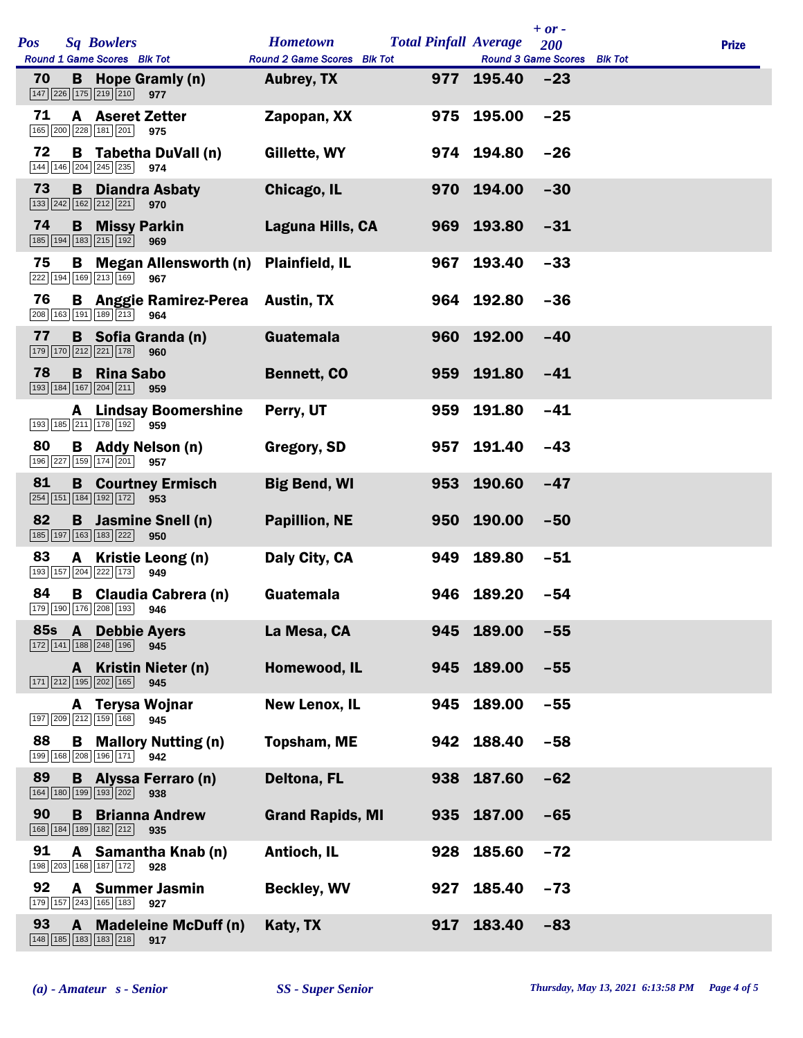|     |              |                                                                       |                                                 |                             |     |                              | $+ or -$ |              |
|-----|--------------|-----------------------------------------------------------------------|-------------------------------------------------|-----------------------------|-----|------------------------------|----------|--------------|
| Pos |              | <b>Sq Bowlers</b>                                                     |                                                 | <b>Hometown</b>             |     | <b>Total Pinfall Average</b> | 200      | <b>Prize</b> |
|     |              | Round 1 Game Scores Blk Tot                                           |                                                 | Round 2 Game Scores Blk Tot |     | Round 3 Game Scores Blk Tot  |          |              |
| 70  |              | $\boxed{147}$ $\boxed{226}$ $\boxed{175}$ $\boxed{219}$ $\boxed{210}$ | <b>B</b> Hope Gramly (n)<br>977                 | Aubrey, TX                  |     | $977$ 195.40 $-23$           |          |              |
| 71  |              | 165 200 228 181 201 975                                               | <b>A</b> Aseret Zetter                          | Zapopan, XX                 |     | 975 195.00                   | $-25$    |              |
| 72  |              | 144 146 204 245 235                                                   | <b>B</b> Tabetha DuVall (n)<br>974              | Gillette, WY                |     | 974 194.80                   | $-26$    |              |
| 73  |              | 133 242 162 212 221                                                   | <b>B</b> Diandra Asbaty<br>970                  | Chicago, IL                 |     | 970 194.00                   | $-30$    |              |
| 74  |              | <b>B</b> Missy Parkin<br>185 194 183 215 192                          | 969                                             | Laguna Hills, CA            |     | 969 193.80                   | $-31$    |              |
| 75  |              | 222 194 169 213 169                                                   | <b>B</b> Megan Allensworth (n)<br>967           | <b>Plainfield, IL</b>       | 967 | 193.40                       | $-33$    |              |
| 76  |              | 208 163 191 189 213                                                   | <b>B</b> Anggie Ramirez-Perea Austin, TX<br>964 |                             |     | 964 192.80                   | $-36$    |              |
| 77  |              | 179 170 212 221 178                                                   | <b>B</b> Sofia Granda (n)<br>960                | Guatemala                   |     | 960 192.00                   | $-40$    |              |
| 78  |              | <b>B</b> Rina Sabo<br>193 184 167 204 211                             | 959                                             | <b>Bennett, CO</b>          |     | 959 191.80                   | $-41$    |              |
|     |              | 193 185 211 178 192                                                   | <b>A</b> Lindsay Boomershine<br>959             | Perry, UT                   | 959 | 191.80                       | $-41$    |              |
| 80  |              | 196 227 159 174 201 957                                               | <b>B</b> Addy Nelson (n)                        | Gregory, SD                 | 957 | 191.40                       | $-43$    |              |
| 81  |              | 254 151 184 192 172 953                                               | <b>B</b> Courtney Ermisch                       | <b>Big Bend, WI</b>         |     | 953 190.60                   | $-47$    |              |
| 82  |              | 185 197 163 183 222                                                   | <b>B</b> Jasmine Snell (n)<br>950               | <b>Papillion, NE</b>        |     | 950 190.00                   | $-50$    |              |
| 83  | A            | 193 157 204 222 173                                                   | Kristie Leong (n)<br>949                        | Daly City, CA               | 949 | 189.80                       | $-51$    |              |
| 84  |              | 179 190 176 208 193                                                   | <b>B</b> Claudia Cabrera (n)<br>946             | Guatemala                   |     | 946 189.20                   | $-54$    |              |
|     |              | 85s A Debbie Ayers<br>172 141 188 248 196                             | 945                                             | La Mesa, CA                 |     | 945 189.00                   | $-55$    |              |
|     |              | 171 212 195 202 165                                                   | A Kristin Nieter (n)<br>945                     | Homewood, IL                |     | 945 189.00                   | $-55$    |              |
|     |              | 197 209 212 159 168                                                   | A Terysa Wojnar<br>945                          | <b>New Lenox, IL</b>        | 945 | 189.00                       | $-55$    |              |
| 88  |              | B<br>199 168 208 196 171                                              | <b>Mallory Nutting (n)</b><br>942               | <b>Topsham, ME</b>          |     | 942 188.40                   | $-58$    |              |
| 89  |              | 164 180 199 193 202                                                   | <b>B</b> Alyssa Ferraro (n)<br>938              | <b>Deltona, FL</b>          | 938 | 187.60                       | $-62$    |              |
| 90  |              | B<br>168 184 189 182 212                                              | <b>Brianna Andrew</b><br>935                    | <b>Grand Rapids, MI</b>     |     | 935 187.00                   | $-65$    |              |
| 91  |              | 198 203 168 187 172                                                   | A Samantha Knab (n)<br>928                      | Antioch, IL                 | 928 | 185.60                       | $-72$    |              |
| 92  |              | 179 157 243 165 183                                                   | A Summer Jasmin<br>927                          | <b>Beckley, WV</b>          | 927 | 185.40                       | $-73$    |              |
| 93  | $\mathbf{A}$ | 148 185 183 183 218                                                   | <b>Madeleine McDuff (n)</b><br>917              | Katy, TX                    | 917 | 183.40                       | $-83$    |              |